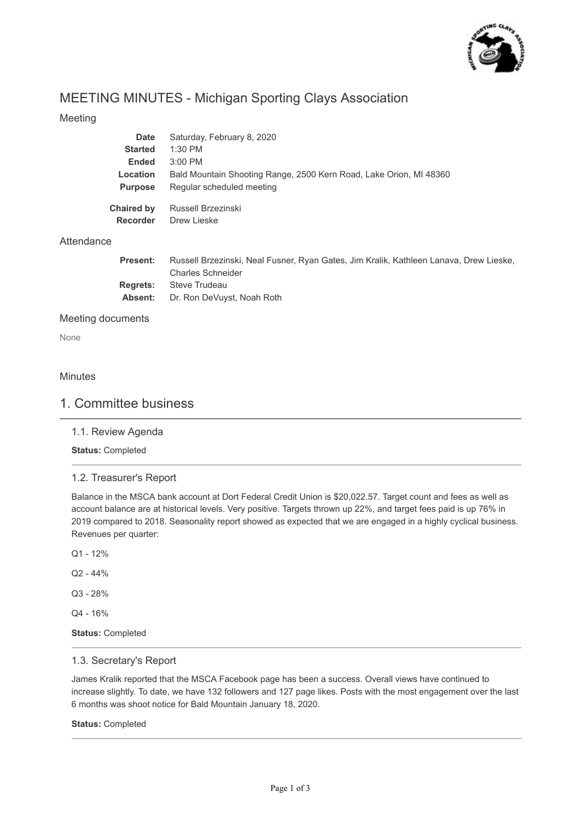

# MEETING MINUTES - Michigan Sporting Clays Association

# Meeting

| <b>Date</b>       | Saturday, February 8, 2020                                         |
|-------------------|--------------------------------------------------------------------|
| <b>Started</b>    | $1:30$ PM                                                          |
| Ended             | $3:00$ PM                                                          |
| <b>Location</b>   | Bald Mountain Shooting Range, 2500 Kern Road, Lake Orion, MI 48360 |
| <b>Purpose</b>    | Regular scheduled meeting                                          |
| <b>Chaired by</b> | Russell Brzezinski                                                 |
| <b>Recorder</b>   | Drew Lieske                                                        |
|                   |                                                                    |

# **Attendance**

| <b>Present:</b> | Russell Brzezinski, Neal Fusner, Ryan Gates, Jim Kralik, Kathleen Lanava, Drew Lieske, |
|-----------------|----------------------------------------------------------------------------------------|
|                 | <b>Charles Schneider</b>                                                               |
|                 | <b>Regrets:</b> Steve Trudeau                                                          |
|                 | <b>Absent:</b> Dr. Ron DeVuyst, Noah Roth                                              |

### Meeting documents

None

### **Minutes**

# 1. Committee business

#### 1.1. Review Agenda

**Status:** Completed

# 1.2. Treasurer's Report

Balance in the MSCA bank account at Dort Federal Credit Union is \$20,022.57. Target count and fees as well as account balance are at historical levels. Very positive. Targets thrown up 22%, and target fees paid is up 76% in 2019 compared to 2018. Seasonality report showed as expected that we are engaged in a highly cyclical business. Revenues per quarter:

- Q1 12%
- $Q2 44%$
- Q3 28%

Q4 - 16%

**Status:** Completed

### 1.3. Secretary's Report

James Kralik reported that the MSCA Facebook page has been a success. Overall views have continued to increase slightly. To date, we have 132 followers and 127 page likes. Posts with the most engagement over the last 6 months was shoot notice for Bald Mountain January 18, 2020.

#### **Status:** Completed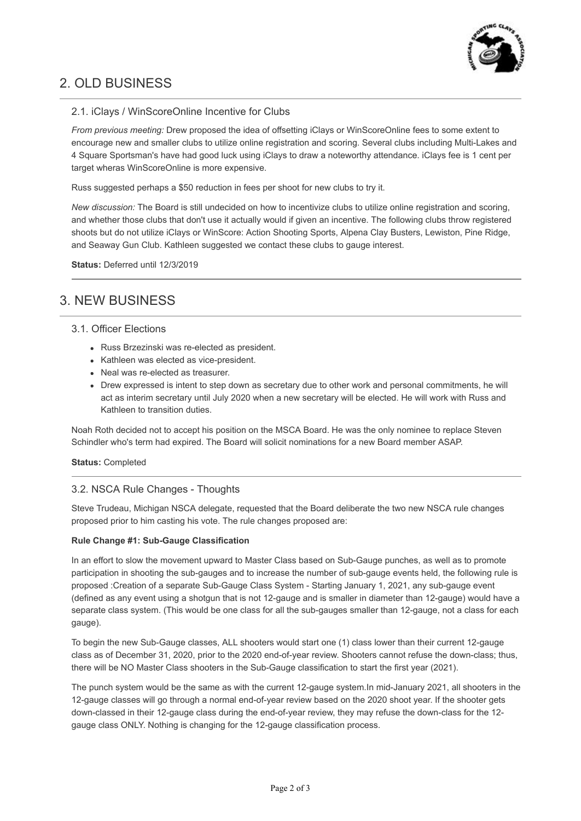

# 2. OLD BUSINESS

# 2.1. iClays / WinScoreOnline Incentive for Clubs

*From previous meeting:* Drew proposed the idea of offsetting iClays or WinScoreOnline fees to some extent to encourage new and smaller clubs to utilize online registration and scoring. Several clubs including Multi-Lakes and 4 Square Sportsman's have had good luck using iClays to draw a noteworthy attendance. iClays fee is 1 cent per target wheras WinScoreOnline is more expensive.

Russ suggested perhaps a \$50 reduction in fees per shoot for new clubs to try it.

*New discussion:* The Board is still undecided on how to incentivize clubs to utilize online registration and scoring, and whether those clubs that don't use it actually would if given an incentive. The following clubs throw registered shoots but do not utilize iClays or WinScore: Action Shooting Sports, Alpena Clay Busters, Lewiston, Pine Ridge, and Seaway Gun Club. Kathleen suggested we contact these clubs to gauge interest.

**Status:** Deferred until 12/3/2019

# 3. NEW BUSINESS

## 3.1. Officer Elections

- Russ Brzezinski was re-elected as president.
- Kathleen was elected as vice-president.
- Neal was re-elected as treasurer.
- Drew expressed is intent to step down as secretary due to other work and personal commitments, he will act as interim secretary until July 2020 when a new secretary will be elected. He will work with Russ and Kathleen to transition duties.

Noah Roth decided not to accept his position on the MSCA Board. He was the only nominee to replace Steven Schindler who's term had expired. The Board will solicit nominations for a new Board member ASAP.

#### **Status:** Completed

# 3.2. NSCA Rule Changes - Thoughts

Steve Trudeau, Michigan NSCA delegate, requested that the Board deliberate the two new NSCA rule changes proposed prior to him casting his vote. The rule changes proposed are:

#### **Rule Change #1: Sub-Gauge Classification**

In an effort to slow the movement upward to Master Class based on Sub-Gauge punches, as well as to promote participation in shooting the sub-gauges and to increase the number of sub-gauge events held, the following rule is proposed :Creation of a separate Sub-Gauge Class System - Starting January 1, 2021, any sub-gauge event (defined as any event using a shotgun that is not 12-gauge and is smaller in diameter than 12-gauge) would have a separate class system. (This would be one class for all the sub-gauges smaller than 12-gauge, not a class for each gauge).

To begin the new Sub-Gauge classes, ALL shooters would start one (1) class lower than their current 12-gauge class as of December 31, 2020, prior to the 2020 end-of-year review. Shooters cannot refuse the down-class; thus, there will be NO Master Class shooters in the Sub-Gauge classification to start the first year (2021).

The punch system would be the same as with the current 12-gauge system.In mid-January 2021, all shooters in the 12-gauge classes will go through a normal end-of-year review based on the 2020 shoot year. If the shooter gets down-classed in their 12-gauge class during the end-of-year review, they may refuse the down-class for the 12 gauge class ONLY. Nothing is changing for the 12-gauge classification process.